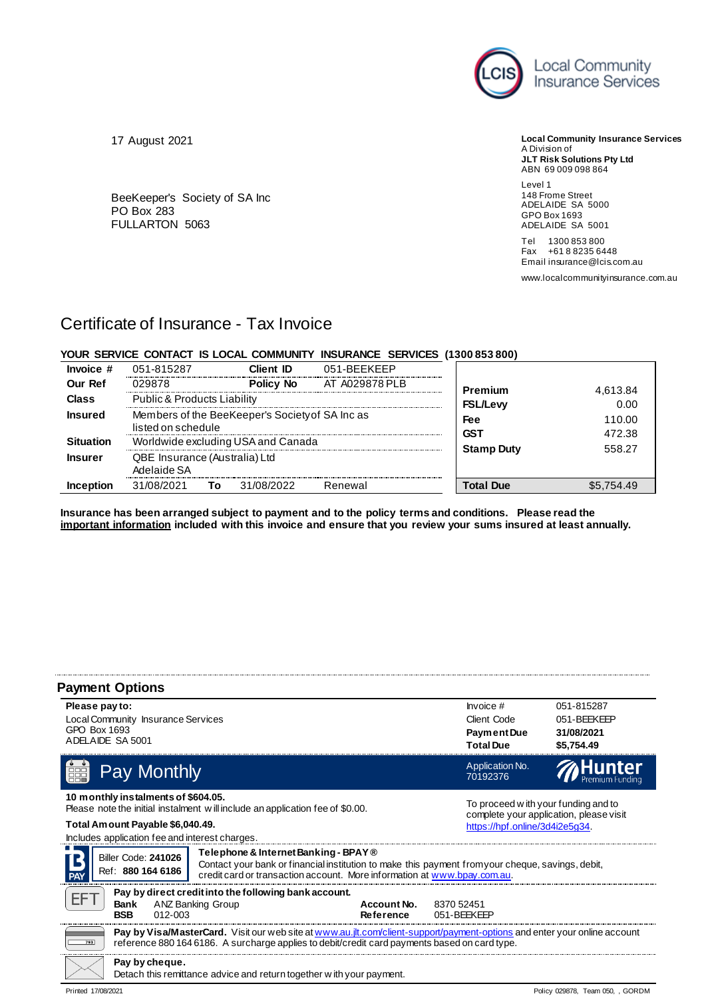

**Local Community Insurance Services** A Division of **JLT Risk Solutions Pty Ltd**

ABN 69 009 098 864 Level 1

148 Frome Street ADELAIDE SA 5000 GPO Box 1693 ADELAIDE SA 5001

Tel 1300 853 800 Fax +61 8 8235 6448 Email insurance@lcis.com.au

www.localcommunityinsurance.com.au

# 17 August 2021

BeeKeeper's Society of SA Inc PO Box 283 FULLARTON 5063

# Certificate of Insurance - Tax Invoice

# **YOUR SERVICE CONTACT IS LOCAL COMMUNITY INSURANCE SERVICES (1300 853 800)**

| Invoice #        | 051-815287                                                            | Client ID        | 051-BEEKEEP    |                   |                  |
|------------------|-----------------------------------------------------------------------|------------------|----------------|-------------------|------------------|
| <b>Our Ref</b>   | 029878                                                                | <b>Policy No</b> | AT A029878 PLB | Premium           | 4,613.84         |
| <b>Class</b>     | <b>Public &amp; Products Liability</b>                                |                  |                | <b>FSL/Levy</b>   | 0.00             |
| <b>Insured</b>   | Members of the BeeKeeper's Society of SA Inc as<br>listed on schedule |                  |                | Fee<br>GST        | 110.00<br>472.38 |
| <b>Situation</b> | Worldwide excluding USA and Canada                                    |                  |                | <b>Stamp Duty</b> | 558.27           |
| <b>Insurer</b>   | QBE Insurance (Australia) Ltd<br>Adelaide SA                          |                  |                |                   |                  |
| Inception        | 31/08/2021                                                            | 31/08/2022<br>Т٥ | Renewal        | <b>Total Due</b>  | \$5,754.49       |

**Insurance has been arranged subject to payment and to the policy terms and conditions. Please read the important information included with this invoice and ensure that you review your sums insured at least annually.**

| <b>Payment Options</b>                                                                                                                                                               |                                                                                                                                                                                                                            |                          |                                                                                                                                                                                                                       |                                                       |
|--------------------------------------------------------------------------------------------------------------------------------------------------------------------------------------|----------------------------------------------------------------------------------------------------------------------------------------------------------------------------------------------------------------------------|--------------------------|-----------------------------------------------------------------------------------------------------------------------------------------------------------------------------------------------------------------------|-------------------------------------------------------|
| Please pay to:<br>Local Community Insurance Services<br>GPO Box 1693<br>ADELAIDE SA 5001                                                                                             |                                                                                                                                                                                                                            |                          | $Involce$ #<br>Client Code<br><b>Payment Due</b><br><b>Total Due</b>                                                                                                                                                  | 051-815287<br>051-BEEKEEP<br>31/08/2021<br>\$5,754.49 |
| Pay Monthly<br>EH.                                                                                                                                                                   |                                                                                                                                                                                                                            |                          | Application No.<br>70192376                                                                                                                                                                                           |                                                       |
| 10 m onthly instalments of \$604.05.<br>Total Amount Payable \$6,040.49.<br>Includes application fee and interest charges.<br>Biller Code: 241026<br>Ref: 880 164 6186<br><b>PAY</b> | Please note the initial instalment will include an application fee of \$0.00.<br>Telephone & Internet Banking - BPAY®<br>credit card or transaction account. More information at www.bpay.com.au.                          |                          | To proceed w ith your funding and to<br>complete your application, please visit<br>https://hpf.online/3d4i2e5g34.<br>Contact your bank or financial institution to make this payment fromyour cheque, savings, debit, |                                                       |
| EF <sub>1</sub><br>Bank<br><b>BSB</b><br>$012 - 003$                                                                                                                                 | Pay by direct credit into the following bank account.<br><b>ANZ Banking Group</b>                                                                                                                                          | Account No.<br>Reference | 8370 52451<br>051-BFFKFFP                                                                                                                                                                                             |                                                       |
| 793                                                                                                                                                                                  | Pay by Visa/MasterCard. Visit our web site at www.au.jtt.com/client-support/payment-options and enter your online account<br>reference 880 164 6186. A surcharge applies to debit/credit card payments based on card type. |                          |                                                                                                                                                                                                                       |                                                       |
| Pay by cheque.                                                                                                                                                                       | Detach this remittance advice and return together with your payment.                                                                                                                                                       |                          |                                                                                                                                                                                                                       |                                                       |
| Printed 17/08/2021                                                                                                                                                                   |                                                                                                                                                                                                                            |                          |                                                                                                                                                                                                                       | Policy 029878, Team 050, , GORDM                      |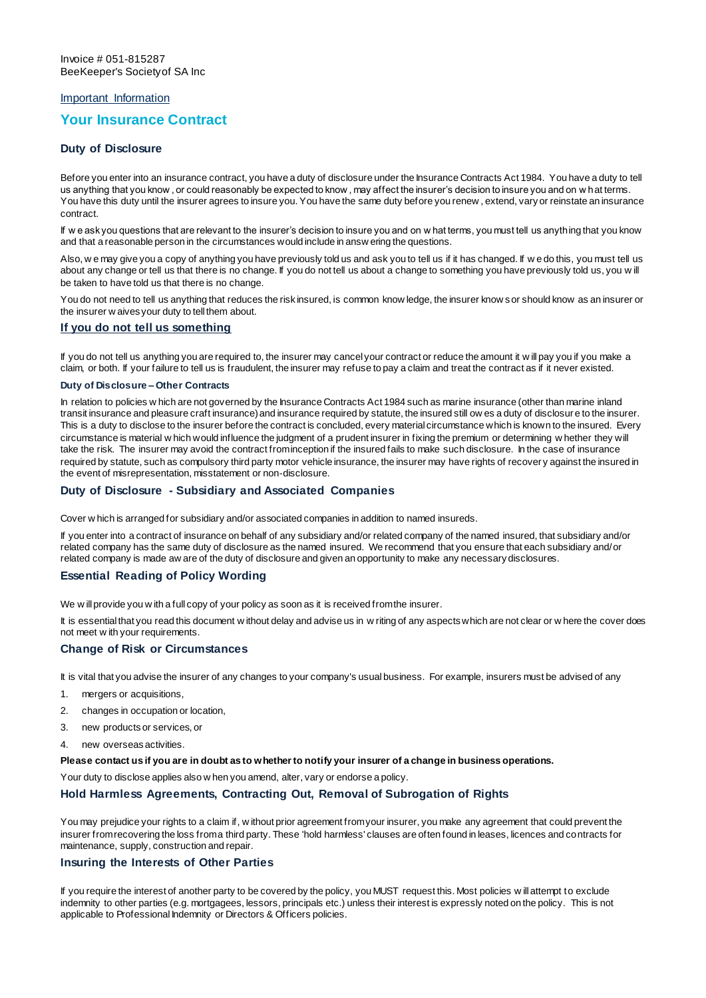# Important Information

# **Your Insurance Contract**

# **Duty of Disclosure**

Before you enter into an insurance contract, you have a duty of disclosure under the Insurance Contracts Act 1984. You have a duty to tell us anything that you know , or could reasonably be expected to know , may affect the insurer's decision to insure you and on w hat terms. You have this duty until the insurer agrees to insure you. You have the same duty before you renew , extend, vary or reinstate an insurance contract.

If w e ask you questions that are relevant to the insurer's decision to insure you and on w hat terms, you must tell us anything that you know and that a reasonable person in the circumstances would include in answ ering the questions.

Also, w e may give you a copy of anything you have previously told us and ask you to tell us if it has changed. If w e do this, you must tell us about any change or tell us that there is no change. If you do not tell us about a change to something you have previously told us, you w ill be taken to have told us that there is no change.

You do not need to tell us anything that reduces the risk insured, is common know ledge, the insurer know s or should know as an insurer or the insurer w aives your duty to tell them about.

### **If you do not tell us something**

If you do not tell us anything you are required to, the insurer may cancel your contract or reduce the amount it w ill pay you if you make a claim, or both. If your failure to tell us is fraudulent, the insurer may refuse to pay a claim and treat the contract as if it never existed.

#### **Duty of Disclosure – Other Contracts**

In relation to policies w hich are not governed by the Insurance Contracts Act 1984 such as marine insurance (other than marine inland transit insurance and pleasure craft insurance) and insurance required by statute, the insured still ow es a duty of disclosur e to the insurer. This is a duty to disclose to the insurer before the contract is concluded, every material circumstance which is known to the insured. Every circumstance is material w hich would influence the judgment of a prudent insurer in fixing the premium or determining w hether they will take the risk. The insurer may avoid the contract from inception if the insured fails to make such disclosure. In the case of insurance required by statute, such as compulsory third party motor vehicle insurance, the insurer may have rights of recover y against the insured in the event of misrepresentation, misstatement or non-disclosure.

# **Duty of Disclosure - Subsidiary and Associated Companies**

Cover w hich is arranged for subsidiary and/or associated companies in addition to named insureds.

If you enter into a contract of insurance on behalf of any subsidiary and/or related company of the named insured, that subsidiary and/or related company has the same duty of disclosure as the named insured. We recommend that you ensure that each subsidiary and/or related company is made aw are of the duty of disclosure and given an opportunity to make any necessary disclosures.

# **Essential Reading of Policy Wording**

We w ill provide you w ith a full copy of your policy as soon as it is received from the insurer.

It is essential that you read this document w ithout delay and advise us in w riting of any aspects which are not clear or w here the cover does not meet w ith your requirements.

# **Change of Risk or Circumstances**

It is vital that you advise the insurer of any changes to your company's usual business. For example, insurers must be advised of any

- 1. mergers or acquisitions,
- 2. changes in occupation or location,
- 3. new products or services, or
- new overseas activities.

#### **Please contact us if you are in doubt as to whether to notify your insurer of a change in business operations.**

Your duty to disclose applies also w hen you amend, alter, vary or endorse a policy.

# **Hold Harmless Agreements, Contracting Out, Removal of Subrogation of Rights**

You may prejudice your rights to a claim if, w ithout prior agreement from your insurer, you make any agreement that could prevent the insurer from recovering the loss from a third party. These 'hold harmless' clauses are often found in leases, licences and contracts for maintenance, supply, construction and repair.

# **Insuring the Interests of Other Parties**

If you require the interest of another party to be covered by the policy, you MUST request this. Most policies w ill attempt to exclude indemnity to other parties (e.g. mortgagees, lessors, principals etc.) unless their interest is expressly noted on the policy. This is not applicable to Professional Indemnity or Directors & Officers policies.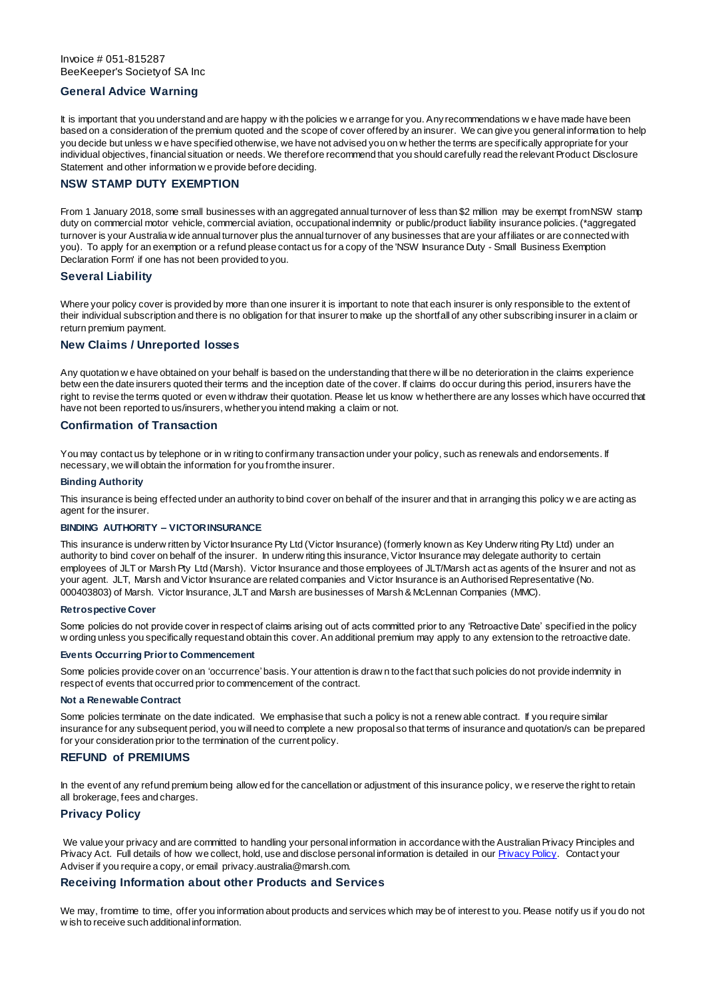# **General Advice Warning**

It is important that you understand and are happy w ith the policies w e arrange for you. Any recommendations w e have made have been based on a consideration of the premium quoted and the scope of cover offered by an insurer. We can give you general information to help you decide but unless w e have specified otherwise, we have not advised you on w hether the terms are specifically appropriate for your individual objectives, financial situation or needs. We therefore recommend that you should carefully read the relevant Product Disclosure Statement and other information w e provide before deciding.

# **NSW STAMP DUTY EXEMPTION**

From 1 January 2018, some small businesses with an aggregated annual turnover of less than \$2 million may be exempt from NSW stamp duty on commercial motor vehicle, commercial aviation, occupational indemnity or public/product liability insurance policies. (\*aggregated turnover is your Australia w ide annual turnover plus the annual turnover of any businesses that are your affiliates or are connected with you). To apply for an exemption or a refund please contact us for a copy of the 'NSW Insurance Duty - Small Business Exemption Declaration Form' if one has not been provided to you.

#### **Several Liability**

Where your policy cover is provided by more than one insurer it is important to note that each insurer is only responsible to the extent of their individual subscription and there is no obligation for that insurer to make up the shortfall of any other subscribing insurer in a claim or return premium payment.

# **New Claims / Unreported losses**

Any quotation w e have obtained on your behalf is based on the understanding that there w ill be no deterioration in the claims experience betw een the date insurers quoted their terms and the inception date of the cover. If claims do occur during this period, insurers have the right to revise the terms quoted or even w ithdraw their quotation. Please let us know w hether there are any losses which have occurred that have not been reported to us/insurers, whether you intend making a claim or not.

#### **Confirmation of Transaction**

You may contact us by telephone or in w riting to confirm any transaction under your policy, such as renewals and endorsements. If necessary, we will obtain the information for you from the insurer.

#### **Binding Authority**

This insurance is being effected under an authority to bind cover on behalf of the insurer and that in arranging this policy w e are acting as agent for the insurer.

#### **BINDING AUTHORITY – VICTOR INSURANCE**

This insurance is underw ritten by Victor Insurance Pty Ltd (Victor Insurance) (formerly known as Key Underw riting Pty Ltd) under an authority to bind cover on behalf of the insurer. In underw riting this insurance, Victor Insurance may delegate authority to certain employees of JLT or Marsh Pty Ltd (Marsh). Victor Insurance and those employees of JLT/Marsh act as agents of the Insurer and not as your agent. JLT, Marsh and Victor Insurance are related companies and Victor Insurance is an Authorised Representative (No. 000403803) of Marsh. Victor Insurance, JLT and Marsh are businesses of Marsh & McLennan Companies (MMC).

#### **Retrospective Cover**

Some policies do not provide cover in respect of claims arising out of acts committed prior to any 'Retroactive Date' specified in the policy w ording unless you specifically request and obtain this cover. An additional premium may apply to any extension to the retroactive date.

### **Events Occurring Prior to Commencement**

Some policies provide cover on an 'occurrence' basis. Your attention is draw n to the fact that such policies do not provide indemnity in respect of events that occurred prior to commencement of the contract.

#### **Not a Renewable Contract**

Some policies terminate on the date indicated. We emphasise that such a policy is not a renew able contract. If you require similar insurance for any subsequent period, you will need to complete a new proposal so that terms of insurance and quotation/s can be prepared for your consideration prior to the termination of the current policy.

# **REFUND of PREMIUMS**

In the event of any refund premium being allow ed for the cancellation or adjustment of this insurance policy, we reserve the right to retain all brokerage, fees and charges.

# **Privacy Policy**

We value your privacy and are committed to handling your personal information in accordance with the Australian Privacy Principles and Privacy Act. Full details of how we collect, hold, use and disclose personal information is detailed in ou[r Privacy Policy.](https://www.marsh.com/au/privacy-policy.html) Contact your Adviser if you require a copy, or email privacy.australia@marsh.com.

# **Receiving Information about other Products and Services**

We may, from time to time, offer you information about products and services which may be of interest to you. Please notify us if you do not w ish to receive such additional information.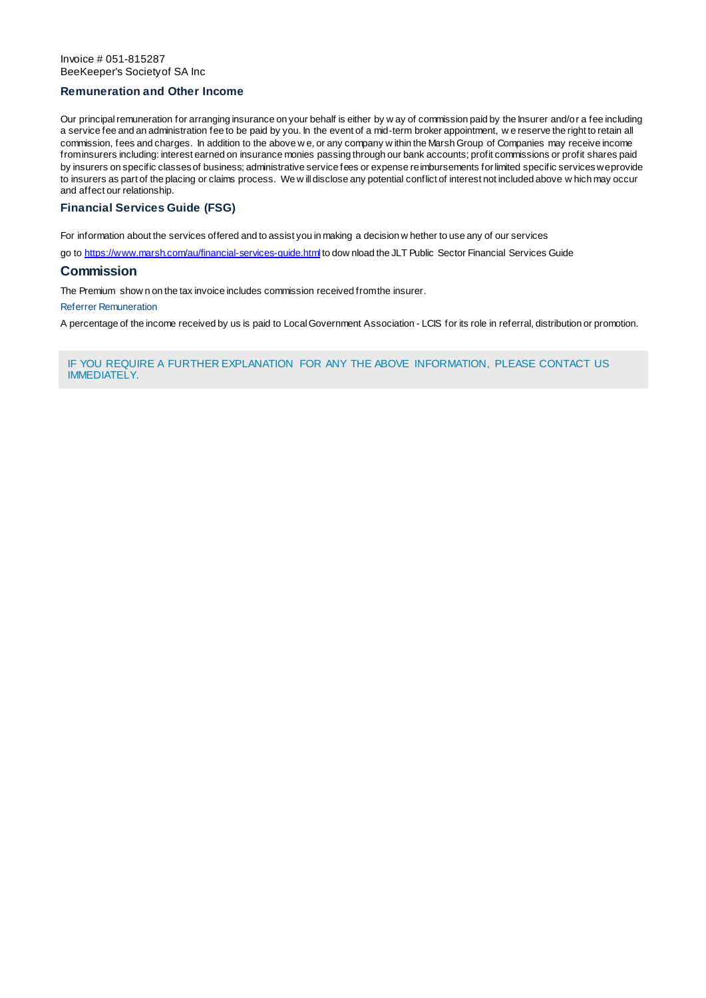# **Remuneration and Other Income**

Our principal remuneration for arranging insurance on your behalf is either by w ay of commission paid by the Insurer and/or a fee including a service fee and an administration fee to be paid by you. In the event of a mid-term broker appointment, w e reserve the right to retain all commission, fees and charges. In addition to the above w e, or any company w ithin the Marsh Group of Companies may receive income from insurers including: interest earned on insurance monies passing through our bank accounts; profit commissions or profit shares paid by insurers on specific classes of business; administrative service fees or expense reimbursements for limited specific services we provide to insurers as part of the placing or claims process. We w ill disclose any potential conflict of interest not included above w hich may occur and affect our relationship.

# **Financial Services Guide (FSG)**

For information about the services offered and to assist you in making a decision w hether to use any of our services

go t[o https://www.marsh.com/au/financial-services-guide.html](https://www.marsh.com/au/financial-services-guide.html) to dow nload the JLT Public Sector Financial Services Guide

# **Commission**

The Premium show n on the tax invoice includes commission received from the insurer.

Referrer Remuneration

A percentage of the income received by us is paid to Local Government Association - LCIS for its role in referral, distribution or promotion.

IF YOU REQUIRE A FURTHER EXPLANATION FOR ANY THE ABOVE INFORMATION, PLEASE CONTACT US IMMEDIATELY.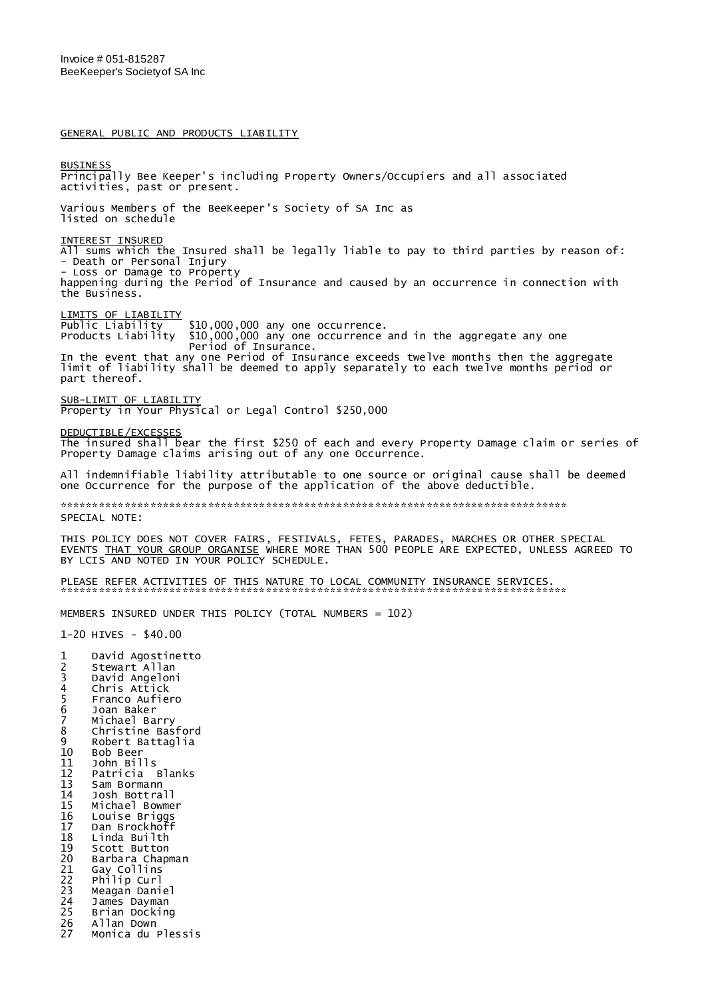GENERAL PUBLIC AND PRODUCTS LIABILITY

**BUSINESS** Principally Bee Keeper's including Property Owners/Occupiers and all associated activities, past or present. Various Members of the BeeKeeper's Society of SA Inc as listed on schedule INTEREST INSURED All sums which the Insured shall be legally liable to pay to third parties by reason of: - Death or Personal Injury - Loss or Damage to Property happening during the Period of Insurance and caused by an occurrence in connection with the Business. LIMITS OF LIABILITY Public Liability \$10,000,000 any one occurrence. Products Liability \$10,000,000 any one occurrence and in the aggregate any one Period of Insurance. In the event that any one Period of Insurance exceeds twelve months then the aggregate limit of liability shall be deemed to apply separately to each twelve months period or part thereof. SUB-LIMIT OF LIABILITY Property in Your Physical or Legal Control \$250,000 DEDUCTIBLE/EXCESSES The insured shall bear the first \$250 of each and every Property Damage claim or series of Property Damage claims arising out of any one Occurrence. All indemnifiable liability attributable to one source or original cause shall be deemed one Occurrence for the purpose of the application of the above deductible. \*\*\*\*\*\*\*\*\*\*\*\*\*\*\*\*\*\*\*\*\*\*\*\*\*\*\*\*\*\*\*\*\*\*\*\*\*\*\*\*\*\*\*\*\*\*\*\*\*\*\*\*\*\*\*\*\*\*\*\*\*\*\*\*\*\*\*\*\*\*\*\*\*\*\*\*\*\*\* SPECIAL NOTE: THIS POLICY DOES NOT COVER FAIRS, FESTIVALS, FETES, PARADES, MARCHES OR OTHER SPECIAL EVENTS THAT YOUR GROUP ORGANISE WHERE MORE THAN 500 PEOPLE ARE EXPECTED, UNLESS AGREED TO BY LCIS AND NOTED IN YOUR POLICY SCHEDULE. PLEASE REFER ACTIVITIES OF THIS NATURE TO LOCAL COMMUNITY INSURANCE SERVICES. \*\*\*\*\*\*\*\*\*\*\*\*\*\*\*\*\*\*\*\*\*\*\*\*\*\*\*\*\*\*\*\*\*\*\*\*\*\*\*\*\*\*\*\*\*\*\*\*\*\*\*\*\*\*\*\*\*\*\*\*\*\*\*\*\*\*\*\*\*\*\*\*\*\*\*\*\*\*\* MEMBERS INSURED UNDER THIS POLICY (TOTAL NUMBERS = 102) 1-20 HIVES - \$40.00 1 David Agostinetto<br>2 Stewart Allan 2 Stewart Allan<br>3 David Angelon 3 David Angeloni 4 Chris Attick 5 Franco Aufiero<br>6 Joan Baker<br>7 Michael Barry 6 Joan Baker 7 Michael Barry<br>8 Christine Bas 8 Christine Basford<br>9 Robert Battaglia 9 Robert Battaglia 10 Bob Beer 11 John Bills 12 Patricia Blanks 13 Sam Bormann 14 Josh Bottrall 15 Michael Bowmer<br>16 Louise Briggs 16 Louise Briggs 17 Dan Brockhoff<br>18 Linda Builth 18 Linda Builth<br>19 Scott Button 19 Scott Button<br>20 Barbara Chap 20 Barbara Chapman 21 Gay Collins 22 Philip Curl

- 23 Meagan Daniel<br>24 James Dayman
- 24 James Dayman<br>25 Brian Dockin 25 Brian Docking
- 26 Allan Down
- Monica du Plessis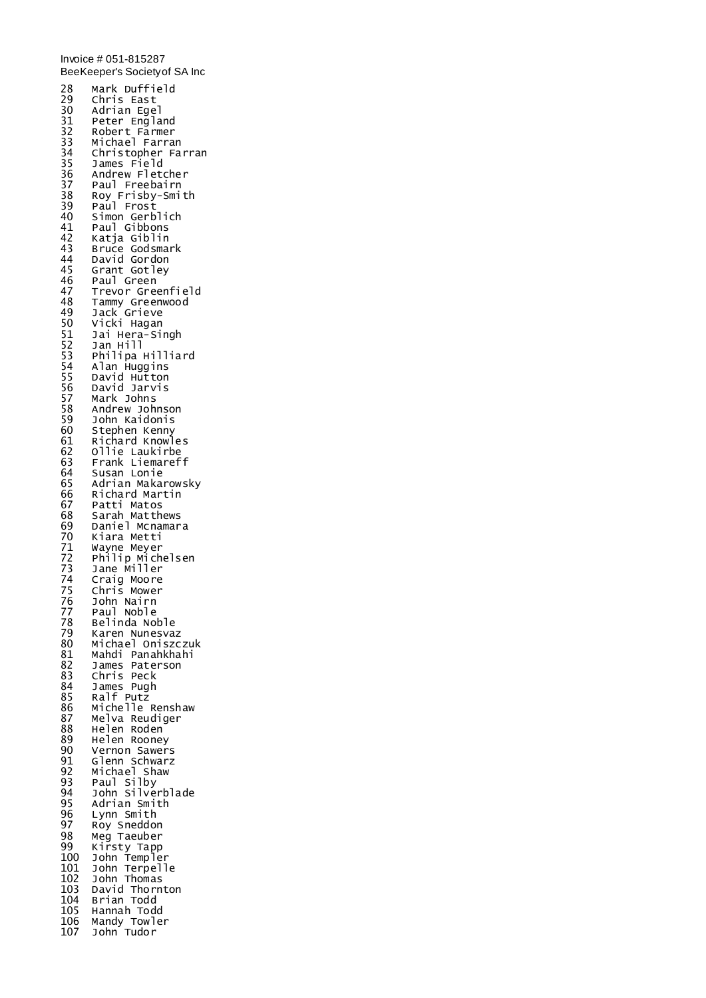Invoice # 051-815287 BeeKeeper's Society of SA Inc 28 Mark Duffield 29 Chris East 30 Adrian Egel 31 Peter England 32 Robert Farmer 33 Michael Farran 34 Christopher Farran 35 James Field 36 Andrew Fletcher<br>37 Paul Freebairn 37 Paul Freebairn<br>38 Roy Frisby-Smi 38 Roy Frisby-Smith 39 Paul Frost<br>40 Simon Gerb 40 Simon Gerblich 41 Paul Gibbons<br>42 Katja Giblin 42 Katja Giblin<br>43 Bruce Godsma 43 Bruce Godsmark 44 David Gordon 45 Grant Gotley 46 Paul Green<br>47 Trevor Gree 47 Trevor Greenfield<br>48 Tammy Greenwood 48 Tammy Greenwood 49 Jack Grieve 50 Vicki Hagan 53 Jai Hera-Singh<br>51 Jai Hera-Singh<br>52 Jan Hill 52 Jan Hill<br>53 Philipa H 53 Philipa Hilliard<br>54 Alan Huggins 54 Alan Huggins 55 David Hutton 56 David Jarvis 56 David Jary<br>57 Mark Johns<br>58 Andrew Joh 58 Andrew Johnson<br>59 John Kaidonis 59 John Kaidonis 60 Stephen Kenny 61 Richard Knowles 62 Ollie Laukirbe 63 Frank Liemareff 64 Susan Lonie 65 Adrian Makarowsky 66 Richard Martin 67 Patti Matos 68 Sarah Matthews 69 Daniel Mcnamara 70 Kiara Metti<br>71 Wayne Meyer 71 Wayne Meyer 72 Philip Michelsen 73 Jane Miller 74 Craig Moore 75 Chris Mower 76 John Nairn<br>77 Paul Noble 77 Paul Noble 78 Belinda Noble<br>79 Karen Nunesya 79 Karen Nunesvaz 80 Michael Oniszczuk 81 Mahdi Panahkhahi 82 James Paterson 83 Chris Peck 84 James Pugh 85 Ralf Putz 86 Michelle Renshaw<br>87 Melva Reudiger 87 Melva Reudiger 88 Helen Roden 89 Helen Rooney 90 Vernon Sawers 91 Glenn Schwarz<br>92 Michael Shaw 92 Michael Shaw 93 Paul Silby 94 John Silverblade<br>95 Adrian Smith 95 Adrian Smith 96 Lynn Smith 97 Roy Sneddon 98 Meg Taeuber 99 Kirsty Tapp<br>100 John Temple 100 John Templer 101 John Terpelle 102 John Thomas 103 David Thornton 104 Brian Todd 105 Hannah Todd 106 Mandy Towler 107 John Tudor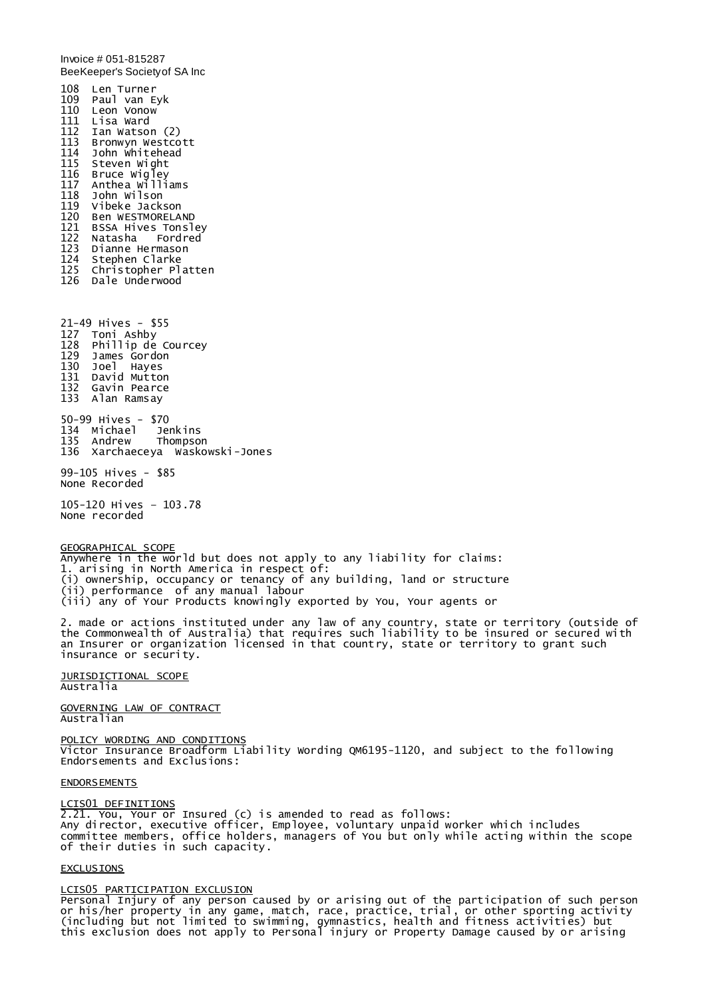Invoice # 051-815287 BeeKeeper's Society of SA Inc 108 Len Turner 109 Paul van Eyk 110 Leon Vonow 111 Lisa Ward Ian Watson (2) 113 Bronwyn Westcott John Whitehead 115 Steven Wight 116 Bruce wigley<br>117 Anthea willi 117 Anthea Williams 118 John Wilson Vibeke Jackson 120 Ben WESTMORELAND 121 BSSA Hives Tonsley Natasha Fordred 123 Dianne Hermason 124 Stephen Clarke 125 Christopher Platten 126 Dale Underwood 21-49 Hives - \$55 127 Toni Ashby 128 Phillip de Courcey 129 James Gordon 130 Joel Hayes 131 David Mutton 132 Gavin Pearce 133 Alan Ramsay 50-99 Hives - \$70 134 Michael 135 Andrew Thompson 136 Xarchaeceya Waskowski-Jones 99-105 Hives - \$85 None Recorded 105-120 Hives – 103.78 None recorded GEOGRAPHICAL SCOPE Anywhere in the world but does not apply to any liability for claims: 1. arising in North America in respect of: (i) ownership, occupancy or tenancy of any building, land or structure (ii) performance of any manual labour (iii) any of Your Products knowingly exported by You, Your agents or 2. made or actions instituted under any law of any country, state or territory (outside of the Commonwealth of Australia) that requires such liability to be insured or secured with an Insurer or organization licensed in that country, state or territory to grant such insurance or security. JURISDICTIONAL SCOPE Australia GOVERNING LAW OF CONTRACT Australian

POLICY WORDING AND CONDITIONS Victor Insurance Broadform Liability Wording QM6195-1120, and subject to the following Endorsements and Exclusions:

#### ENDORSEMENTS

#### LCIS01 DEFINITIONS

2.21. You, Your or Insured (c) is amended to read as follows: Any director, executive officer, Employee, voluntary unpaid worker which includes committee members, office holders, managers of You but only while acting within the scope of their duties in such capacity.

#### EXCLUSIONS

# LCIS05 PARTICIPATION EXCLUSION

Personal Injury of any person caused by or arising out of the participation of such person or his/her property in any game, match, race, practice, trial, or other sporting activity (including but not limited to swimming, gymnastics, health and fitness activities) but this exclusion does not apply to Personal injury or Property Damage caused by or arising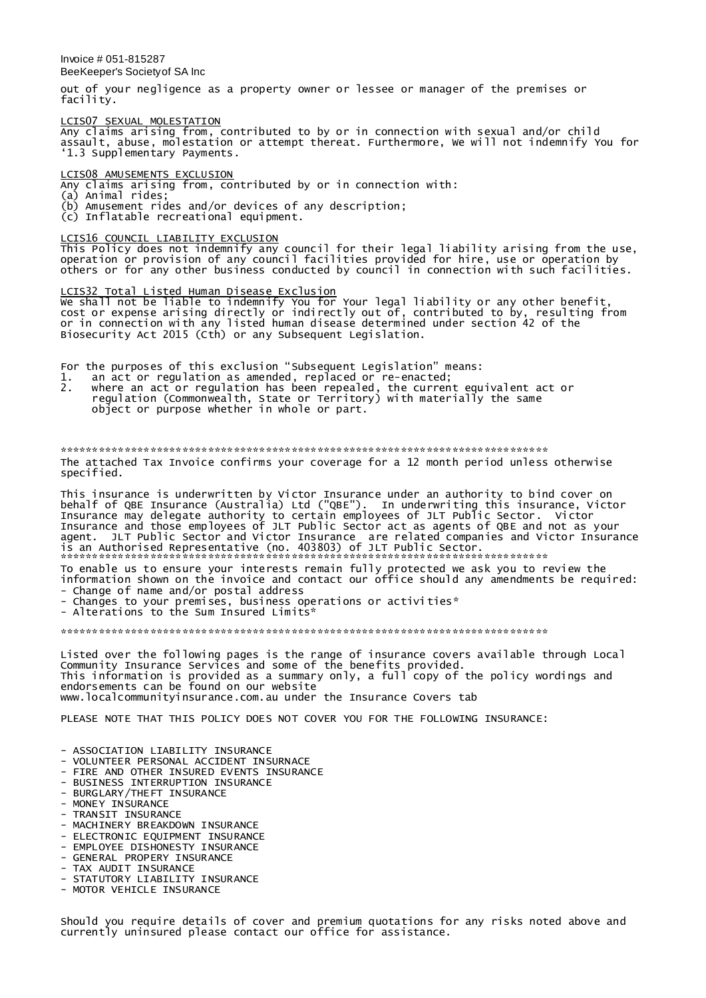Invoice # 051-815287 BeeKeeper's Society of SA Inc

out of your negligence as a property owner or lessee or manager of the premises or facility.

### LCIS07 SEXUAL MOLESTATION

Any claims arising from, contributed to by or in connection with sexual and/or child assault, abuse, molestation or attempt thereat. Furthermore, We will not indemnify You for '1.3 Supplementary Payments.

LCIS08 AMUSEMENTS EXCLUSION

Any claims arising from, contributed by or in connection with:

(a) Animal rides;

- (b) Amusement rides and/or devices of any description;
- (c) Inflatable recreational equipment.

#### LCIS16 COUNCIL LIABILITY EXCLUSION

This Policy does not indemnify any council for their legal liability arising from the use, operation or provision of any council facilities provided for hire, use or operation by others or for any other business conducted by council in connection with such facilities.

LCIS32 Total Listed Human Disease Exclusion We shall not be liable to indemnify You for Your legal liability or any other benefit, cost or expense arising directly or indirectly out of, contributed to by, resulting from or in connection with any listed human disease determined under section 42 of the Biosecurity Act 2015 (Cth) or any Subsequent Legislation.

For the purposes of this exclusion "Subsequent Legislation" means:

- 1. an act or regulation as amended, replaced or re-enacted;
- 2. where an act or regulation has been repealed, the current equivalent act or regulation (Commonwealth, State or Territory) with materially the same object or purpose whether in whole or part.

\*\*\*\*\*\*\*\*\*\*\*\*\*\*\*\*\*\*\*\*\*\*\*\*\*\*\*\*\*\*\*\*\*\*\*\*\*\*\*\*\*\*\*\*\*\*\*\*\*\*\*\*\*\*\*\*\*\*\*\*\*\*\*\*\*\*\*\*\*\*\*\*\*\*\*\* The attached Tax Invoice confirms your coverage for a 12 month period unless otherwise specified.

This insurance is underwritten by Victor Insurance under an authority to bind cover on behalf of QBE Insurance (Australia) Ltd ("QBE"). In underwriting this insurance, Victor Insurance may delegate authority to certain employees of JLT Public Sector. Victor Insurance and those employees of JLT Public Sector act as agents of QBE and not as your agent. JLT Public Sector and Victor Insurance are related companies and Victor Insurance is an Authorised Representative (no. 403803) of JLT Public Sector.

\*\*\*\*\*\*\*\*\*\*\*\*\*\*\*\*\*\*\*\*\*\*\*\*\*\*\*\*\*\*\*\*\*\*\*\*\*\*\*\*\*\*\*\*\*\*\*\*\*\*\*\*\*\*\*\*\*\*\*\*\*\*\*\*\*\*\*\*\*\*\*\*\*\*\*\* To enable us to ensure your interests remain fully protected we ask you to review the information shown on the invoice and contact our office should any amendments be required: - Change of name and/or postal address

- Changes to your premises, business operations or activities\*

- Alterations to the Sum Insured Limits<sup>\*</sup>

\*\*\*\*\*\*\*\*\*\*\*\*\*\*\*\*\*\*\*\*\*\*\*\*\*\*\*\*\*\*\*\*\*\*\*\*\*\*\*\*\*\*\*\*\*\*\*\*\*\*\*\*\*\*\*\*\*\*\*\*\*\*\*\*\*\*\*\*\*\*\*\*\*\*\*\*

Listed over the following pages is the range of insurance covers available through Local Community Insurance Services and some of the benefits provided. This information is provided as a summary only, a full copy of the policy wordings and endorsements can be found on our website www.localcommunityinsurance.com.au under the Insurance Covers tab

PLEASE NOTE THAT THIS POLICY DOES NOT COVER YOU FOR THE FOLLOWING INSURANCE:

- ASSOCIATION LIABILITY INSURANCE
- VOLUNTEER PERSONAL ACCIDENT INSURNACE
- FIRE AND OTHER INSURED EVENTS INSURANCE
- BUSINESS INTERRUPTION INSURANCE
- BURGLARY/THEFT INSURANCE
- MONEY INSURANCE
- TRANSIT INSURANCE
- MACHINERY BREAKDOWN INSURANCE
- ELECTRONIC EQUIPMENT INSURANCE
- EMPLOYEE DISHONESTY INSURANCE
- GENERAL PROPERY INSURANCE
- TAX AUDIT INSURANCE
- STATUTORY LIABILITY INSURANCE
- MOTOR VEHICLE INSURANCE

Should you require details of cover and premium quotations for any risks noted above and currently uninsured please contact our office for assistance.